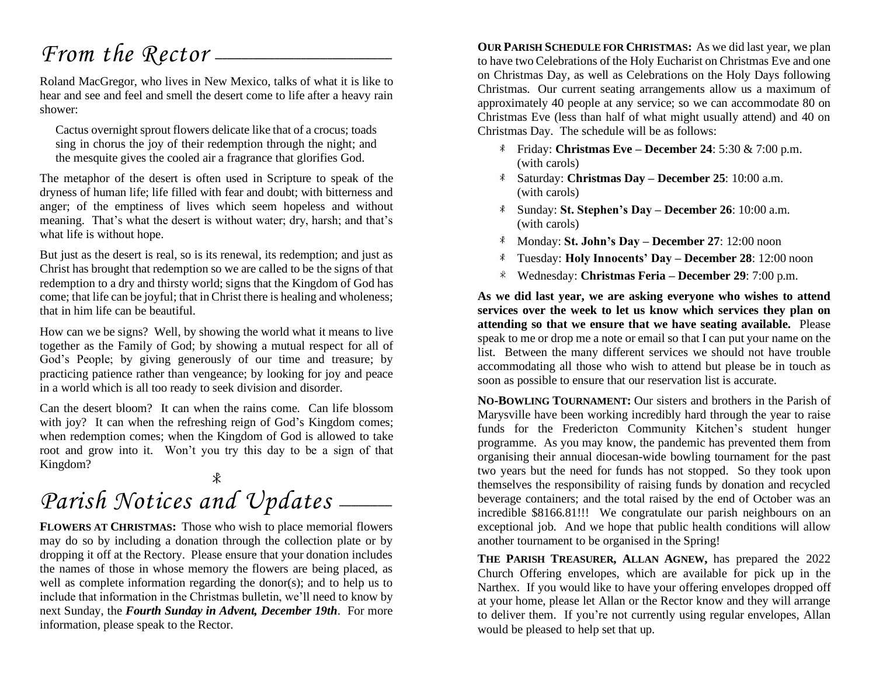## *From the Rector* —

Roland MacGregor, who lives in New Mexico, talks of what it is like to hear and see and feel and smell the desert come to life after a heavy rain shower:

Cactus overnight sprout flowers delicate like that of a crocus; toads sing in chorus the joy of their redemption through the night; and the mesquite gives the cooled air a fragrance that glorifies God.

The metaphor of the desert is often used in Scripture to speak of the dryness of human life; life filled with fear and doubt; with bitterness and anger; of the emptiness of lives which seem hopeless and without meaning. That's what the desert is without water; dry, harsh; and that's what life is without hope.

But just as the desert is real, so is its renewal, its redemption; and just as Christ has brought that redemption so we are called to be the signs of that redemption to a dry and thirsty world; signs that the Kingdom of God has come; that life can be joyful; that in Christ there is healing and wholeness; that in him life can be beautiful.

How can we be signs? Well, by showing the world what it means to live together as the Family of God; by showing a mutual respect for all of God's People; by giving generously of our time and treasure; by practicing patience rather than vengeance; by looking for joy and peace in a world which is all too ready to seek division and disorder.

Can the desert bloom? It can when the rains come. Can life blossom with joy? It can when the refreshing reign of God's Kingdom comes; when redemption comes; when the Kingdom of God is allowed to take root and grow into it. Won't you try this day to be a sign of that Kingdom?

### $\mathcal{R}$ Parish Notices and Updates \_\_\_\_\_

**FLOWERS AT CHRISTMAS:** Those who wish to place memorial flowers may do so by including a donation through the collection plate or by dropping it off at the Rectory. Please ensure that your donation includes the names of those in whose memory the flowers are being placed, as well as complete information regarding the donor(s); and to help us to include that information in the Christmas bulletin, we'll need to know by next Sunday, the *Fourth Sunday in Advent, December 19th*. For more information, please speak to the Rector.

**OUR PARISH SCHEDULE FOR CHRISTMAS:** As we did last year, we plan to have two Celebrations of the Holy Eucharist on Christmas Eve and one on Christmas Day, as well as Celebrations on the Holy Days following Christmas. Our current seating arrangements allow us a maximum of approximately 40 people at any service; so we can accommodate 80 on Christmas Eve (less than half of what might usually attend) and 40 on Christmas Day. The schedule will be as follows:

- Friday: **Christmas Eve – December 24**: 5:30 & 7:00 p.m. (with carols)
- Saturday: **Christmas Day – December 25**: 10:00 a.m. (with carols)
- Sunday: **St. Stephen's Day – December 26**: 10:00 a.m. (with carols)
- Monday: **St. John's Day – December 27**: 12:00 noon
- Tuesday: **Holy Innocents' Day – December 28**: 12:00 noon
- Wednesday: **Christmas Feria – December 29**: 7:00 p.m.  $*$

**As we did last year, we are asking everyone who wishes to attend services over the week to let us know which services they plan on attending so that we ensure that we have seating available.** Please speak to me or drop me a note or email so that I can put your name on the list. Between the many different services we should not have trouble accommodating all those who wish to attend but please be in touch as soon as possible to ensure that our reservation list is accurate.

**NO-BOWLING TOURNAMENT:** Our sisters and brothers in the Parish of Marysville have been working incredibly hard through the year to raise funds for the Fredericton Community Kitchen's student hunger programme. As you may know, the pandemic has prevented them from organising their annual diocesan-wide bowling tournament for the past two years but the need for funds has not stopped. So they took upon themselves the responsibility of raising funds by donation and recycled beverage containers; and the total raised by the end of October was an incredible \$8166.81!!! We congratulate our parish neighbours on an exceptional job. And we hope that public health conditions will allow another tournament to be organised in the Spring!

**THE PARISH TREASURER, ALLAN AGNEW,** has prepared the 2022 Church Offering envelopes, which are available for pick up in the Narthex. If you would like to have your offering envelopes dropped off at your home, please let Allan or the Rector know and they will arrange to deliver them. If you're not currently using regular envelopes, Allan would be pleased to help set that up.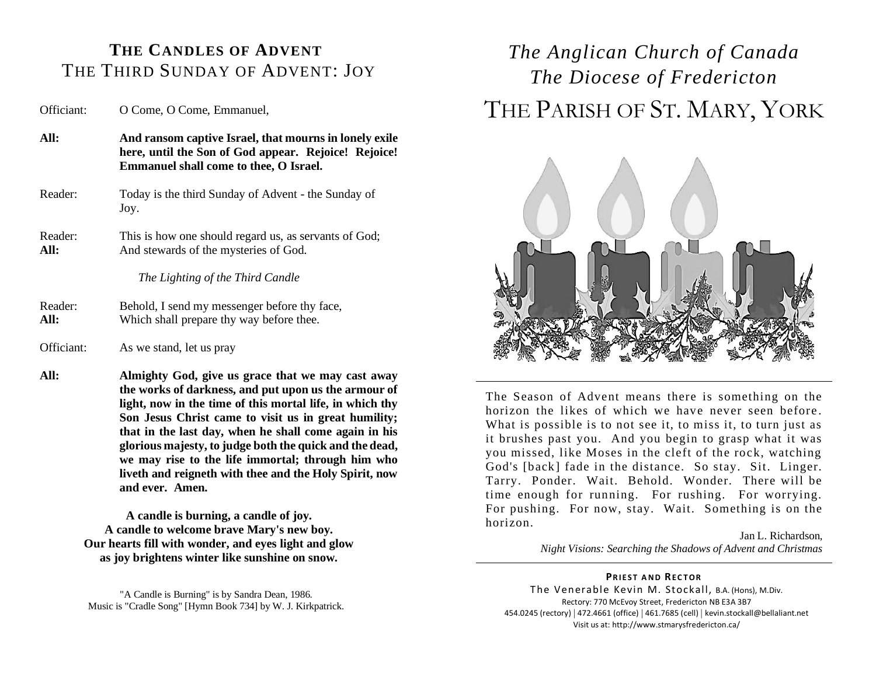#### **THE CANDLES OF ADVENT** THE THIRD SUNDAY OF ADVENT: JOY

Officiant: O Come, O Come, Emmanuel,

- **All: And ransom captive Israel, that mourns in lonely exile here, until the Son of God appear. Rejoice! Rejoice! Emmanuel shall come to thee, O Israel.** Reader: Today is the third Sunday of Advent - the Sunday of
- Reader: This is how one should regard us, as servants of God; All: And stewards of the mysteries of God.

*The Lighting of the Third Candle*

- Reader: Behold, I send my messenger before thy face, **All:** Which shall prepare thy way before thee.
- Officiant: As we stand, let us pray

Joy.

**All: Almighty God, give us grace that we may cast away the works of darkness, and put upon us the armour of light, now in the time of this mortal life, in which thy Son Jesus Christ came to visit us in great humility; that in the last day, when he shall come again in his glorious majesty, to judge both the quick and the dead, we may rise to the life immortal; through him who liveth and reigneth with thee and the Holy Spirit, now and ever. Amen.**

> **A candle is burning, a candle of joy. A candle to welcome brave Mary's new boy. Our hearts fill with wonder, and eyes light and glow as joy brightens winter like sunshine on snow.**

"A Candle is Burning" is by Sandra Dean, 1986. Music is "Cradle Song" [Hymn Book 734] by W. J. Kirkpatrick.

## *The Anglican Church of Canada The Diocese of Fredericton* THE PARISH OF ST. MARY, YORK



The Season of Advent means there is something on the horizon the likes of which we have never seen before. What is possible is to not see it, to miss it, to turn just as it brushes past you. And you begin to grasp what it was you missed, like Moses in the cleft of the rock, watching God's [back] fade in the distance. So stay. Sit. Linger. Tarry. Ponder. Wait. Behold. Wonder. There will be time enough for running. For rushing. For worrying. For pushing. For now, stay. Wait. Something is on the horizon.

> Jan L. Richardson, *Night Visions: Searching the Shadows of Advent and Christmas*

#### **PRIEST AND RECTOR**

The Venerable Kevin M. Stockall, B.A. (Hons), M.Div. Rectory: 770 McEvoy Street, Fredericton NB E3A 3B7 454.0245 (rectory) | 472.4661 (office) | 461.7685 (cell) | kevin.stockall@bellaliant.net Visit us at: http://www.stmarysfredericton.ca/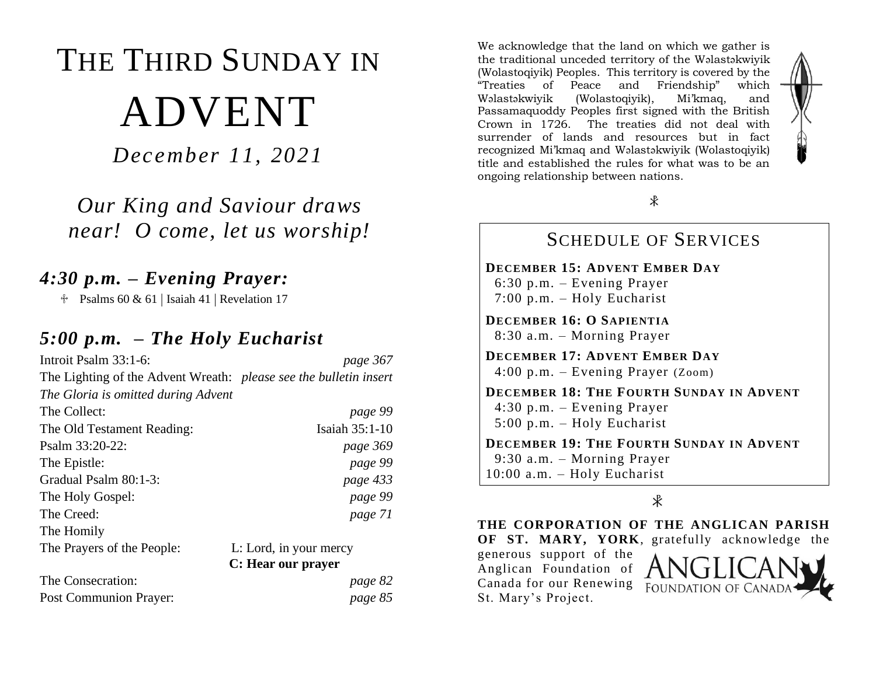# THE THIRD SUNDAY IN ADVENT

*December 11, 2021*

*Our King and Saviour draws near! O come, let us worship!*

### *4:30 p.m. – Evening Prayer:*

 $\text{\textdegree}$  Psalms 60 & 61 | Isaiah 41 | Revelation 17

#### *5:00 p.m. – The Holy Eucharist*

| Introit Psalm 33:1-6:                                             | page 367               |
|-------------------------------------------------------------------|------------------------|
| The Lighting of the Advent Wreath: please see the bulletin insert |                        |
| The Gloria is omitted during Advent                               |                        |
| The Collect:                                                      | page 99                |
| The Old Testament Reading:                                        | Isaiah 35:1-10         |
| Psalm 33:20-22:                                                   | page 369               |
| The Epistle:                                                      | page 99                |
| Gradual Psalm 80:1-3:                                             | page 433               |
| The Holy Gospel:                                                  | page 99                |
| The Creed:                                                        | page 71                |
| The Homily                                                        |                        |
| The Prayers of the People:                                        | L: Lord, in your mercy |
|                                                                   | C: Hear our prayer     |
| The Consecration:                                                 | page 82                |
| Post Communion Prayer:                                            | page 85                |

We acknowledge that the land on which we gather is the traditional unceded territory of the Wəlastəkwiyik (Wolastoqiyik) Peoples. This territory is covered by the "Treaties of Peace and Friendship" which Wəlastəkwiyik (Wolastoqiyik), Mi'kmaq, and Passamaquoddy Peoples first signed with the British Crown in 1726. The treaties did not deal with surrender of lands and resources but in fact recognized Mi'kmaq and Wəlastəkwiyik (Wolastoqiyik) title and established the rules for what was to be an ongoing relationship between nations.



#### SCHEDULE OF SERVICES

**DECEMBER 15: ADVENT EMBER DAY** 6:30 p.m. – Evening Prayer 7:00 p.m. – Holy Eucharist

**DECEMBER 16: O SAPIENTIA** 8:30 a.m. – Morning Prayer

**DECEMBER 17: ADVENT EMBER DAY** 4:00 p.m. – Evening Prayer (Zoom)

**DECEMBER 18: THE FOURTH SUNDAY IN ADVENT** 4:30 p.m. – Evening Prayer 5:00 p.m. – Holy Eucharist

**DECEMBER 19: THE FOURTH SUNDAY IN ADVENT** 9:30 a.m. – Morning Prayer 10:00 a.m. – Holy Eucharist

 $\ast$ 

**THE CORPORATION OF THE ANGLICAN PARISH** 

**OF ST. MARY, YORK**, gratefully acknowledge the

generous support of the Anglican Foundation of Canada for our Renewing St. Mary's Project.